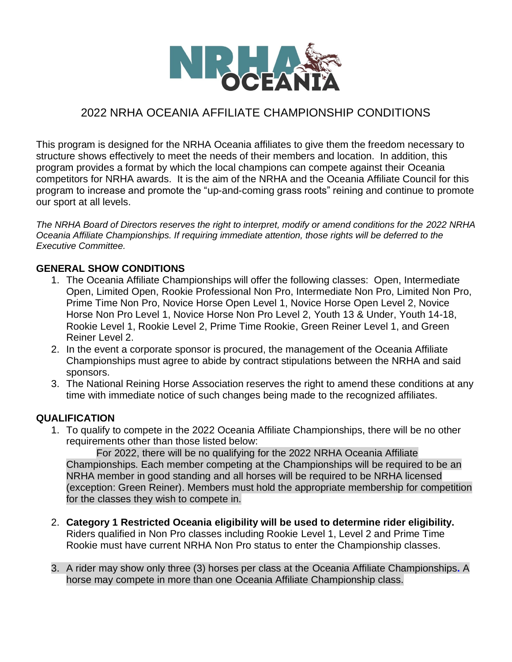

## 2022 NRHA OCEANIA AFFILIATE CHAMPIONSHIP CONDITIONS

This program is designed for the NRHA Oceania affiliates to give them the freedom necessary to structure shows effectively to meet the needs of their members and location. In addition, this program provides a format by which the local champions can compete against their Oceania competitors for NRHA awards. It is the aim of the NRHA and the Oceania Affiliate Council for this program to increase and promote the "up-and-coming grass roots" reining and continue to promote our sport at all levels.

*The NRHA Board of Directors reserves the right to interpret, modify or amend conditions for the 2022 NRHA Oceania Affiliate Championships. If requiring immediate attention, those rights will be deferred to the Executive Committee.*

## **GENERAL SHOW CONDITIONS**

- 1. The Oceania Affiliate Championships will offer the following classes: Open, Intermediate Open, Limited Open, Rookie Professional Non Pro, Intermediate Non Pro, Limited Non Pro, Prime Time Non Pro, Novice Horse Open Level 1, Novice Horse Open Level 2, Novice Horse Non Pro Level 1, Novice Horse Non Pro Level 2, Youth 13 & Under, Youth 14-18, Rookie Level 1, Rookie Level 2, Prime Time Rookie, Green Reiner Level 1, and Green Reiner Level 2.
- 2. In the event a corporate sponsor is procured, the management of the Oceania Affiliate Championships must agree to abide by contract stipulations between the NRHA and said sponsors.
- 3. The National Reining Horse Association reserves the right to amend these conditions at any time with immediate notice of such changes being made to the recognized affiliates.

## **QUALIFICATION**

1. To qualify to compete in the 2022 Oceania Affiliate Championships, there will be no other requirements other than those listed below:

For 2022, there will be no qualifying for the 2022 NRHA Oceania Affiliate Championships. Each member competing at the Championships will be required to be an NRHA member in good standing and all horses will be required to be NRHA licensed (exception: Green Reiner). Members must hold the appropriate membership for competition for the classes they wish to compete in.

- 2. **Category 1 Restricted Oceania eligibility will be used to determine rider eligibility.** Riders qualified in Non Pro classes including Rookie Level 1, Level 2 and Prime Time Rookie must have current NRHA Non Pro status to enter the Championship classes.
- 3. A rider may show only three (3) horses per class at the Oceania Affiliate Championships**.** A horse may compete in more than one Oceania Affiliate Championship class.